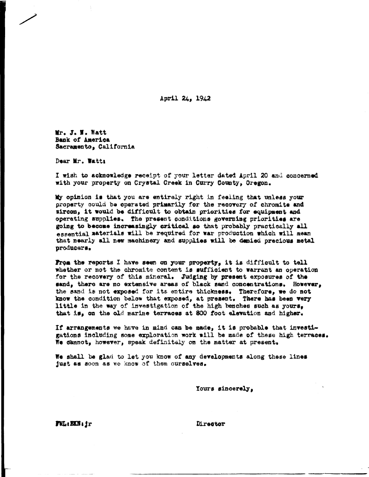April 24, 1942

Mr. J. N. Watt Bank of America Sacramento. California

Dear Mr. Wattı

I wish to acknowledge receipt of your letter dated April 20 and concerned with your property on Crystal Creek in Curry County, Oregon.

My opinion is that you are entirely right in feeling that unless your property could be operated primarily for the recovery of chromite and sircon, it would be difficult to obtain priorities for equipment and operating supplies. The present conditions governing priorities are going to become increasingly critical so that probably practically all essential materials will be required for war production which will mean that nearly all new machinery and supplies will be denied precious metal producers.

From the reports I have seen on your property, it is difficult to tell whether or not the chromite content is sufficient to warrant an operation for the recovery of this mineral. Judging by present exposures of the sand, there are no extensive areas of black sand concentrations. However, the sand is not exposed for its entire thickness. Therefore, we do not know the condition below that exposed, at present. There has been very little in the way of investigation of the high benches such as yours, that is, on the old marine terraces at 800 foot elevation and higher.

If arrangements we have in mind can be made, it is probable that investigations including some exploration work will be made of these high terraces. We dannot, however, speak definitely on the matter at present.

We shall be glad to let you know of any developments along these lines just as soon as we know of them ourselves.

Yours sincerely,

 $\overline{F}$ V $L$ : EXN;  $f$ r

Director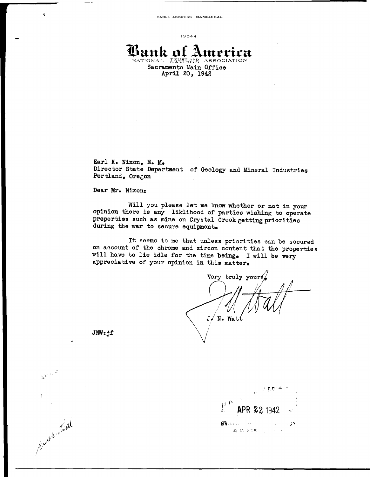$13044$ 

## **Bank of 2** merica NATIONAL ERVANCE ASSOCI Sacramento Main Office April 20, 1942

Earl K. Nixon, E. M. Director State Department of Geology and Mineral Industries Portland, Oregon

## Dear Mr. Nixon:

步

Will you please let me know whether or not in your opinion there is any liklihood of parties wishing to operate properties such as mine on Crystal Creek getting priorities during the war to secure equipment.

It seems to me that unless priorities can be secured on account of the chrome and zircon content that the properties will have to lie idle for the time being. I will be very appreciative of your opinion in this matter.

Very truly yours  $J \times N$ . Watt

 $JWt.ff$ 

 $\zeta_{\alpha} \circ \zeta_{\alpha}$ 

work time

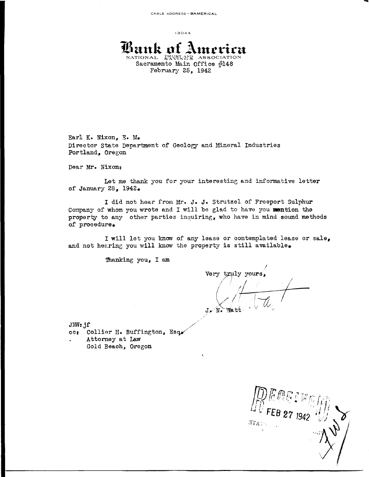$13044$ 

íxnk o NATIONAL IRUST AND Sacramento Main Office #148 February 25, 1942

Earl K. Nixon, E. M. Director State Department of Geology and Mineral Industries Portland, Oregon

Dear Mr. Nixon:

Let me thank you for your interesting and informative letter of January 28, 1942.

I did not hear from Mr. J. J. Strutzel of Freeport Sulphur Company of whom you wrote and I will be glad to have you mention the property to any other parties inquiring, who have in mind sound methods of procedure.

I will let you know of any lease or contemplated lease or sale, and not hearing you will know the property is still available.

Thanking you, I am

Very truly yours,

 $JW: jf$ cc: Collier H. Buffington, Esq. Attorney at Law Gold Beach, Oregon

 $374$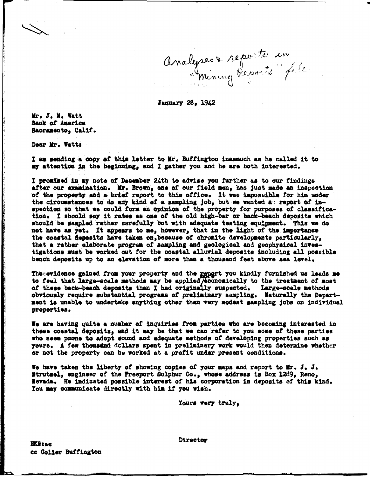Analyses & reporte in

January 28, 1942

Mr. J. N. Watt Bank of America Sacramento, Calif.

Dear Mr. Watts

I am sending a copy of this letter to Mr. Buffington inasmuch as he called it to my attention in the beginning, and I gather you and he are both interested.

I promised in my note of December 24th to advise you further as to our findings after our examination. Mr. Brown, one of our field men, has just made an inspection of the property and a briaf report to this office. It was impossible for him under the circumstances to do any kind of a sampling job, but we wanted as report of inspection so that we could form an opinion of the property for purposes of classification. I should say it rates as one of the old high-bar or back-beach deposits which should be sampled rather carefully but with adequate testing equipment. This we do not have as yet. It appears to me, however, that in the light of the importance the coastal deposits have taken on because of chromite developments particularly. that a rather elaborate program of sampling and geological and geophysical investigations must be worked out for the coastal alluvial deposits including all possible bench deposits up to an elevation of more than a thousand feet above sea level.

The evidence gained from your property and the genert you kindly furnished us leads me to feel that large-scale methods may be applied/economically to the treatment of most of these back-beach deposits than I had originally suspected. Large-scale methods obviously require substantial programs of preliminary sampling. Maturally the Department is unable to undertake anything other than very modest sampling jobs on individual properties.

We are having quite a number of inquiries from parties who are becoming interested in these coastal deposits, and it may be that we can refer to you some of these parties who seem prone to adopt sound and adequate methods of developing properties such as yours. A few thousand dollars spent in preliminary work would then determine whether or not the property can be worked at a profit under present conditions.

We have taken the liberty of showing copies of your maps and report to Mr. J. J. Strutsel, engineer of the Freeport Sulphur Co., whose address is Box 1289, Reno, Nevada. He indicated possible interest of his corporation in deposits of this kind. You may communicate directly with him if you wish.

Yours very truly,

Director

**EXN** 180 cc Coller Buffington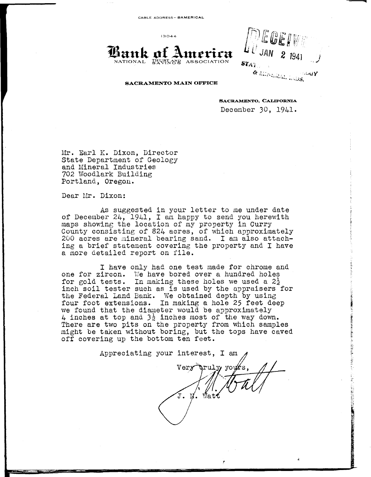CABLE ADDRESS- BA **MERICAL** 

13044

 $\mathbf{t}$  ank of  $I$ NATIONAL TRUST AND ASSOCIATION

EGEIVE  $JAN$  2  $1941$ i " • *.,;l*  $ST_{AT}$ & MIRLAAL ANDS. ∴⊍uγ

#### **SACRAMENTO MAIN OFFICE**

**SACRAMENTO, CALIFORNIA** 

December 30, 1941.

Mr. Earl K. Dixon, Director State Department of Geology and Mineral Industries 702 Woodlark Building Portland, Oregon.

Dear Mr. Dixon:

As suggested in your letter to me under date of December 24, 1941, I am happy to send you herewith maps showing the location of my property in Curry County consisting of 824 acres, of which approximately 200 acres are mineral bearing sand. I am also attaching a brief statement covering the property and I have a more detailed report on file.

I have only had one test made for chrome and one for zircon. We have bored over a hundred holes for gold tests. In making these holes we used a  $2\frac{1}{2}$ inch soil tester such as is used by the appraisers for the Federal Land Bank. We obtained depth by using four foot extensions. In making a hole 25 feet deep we found that the diameter would be approximately 4 inches at top and  $3\frac{1}{2}$  inches most of the way down. There are two pits on the property from which samples might be taken without boring, but the tops have caved oft covering up the bottom ten feet.

Appreciating your interest, I am Very  $\texttt{Watt}$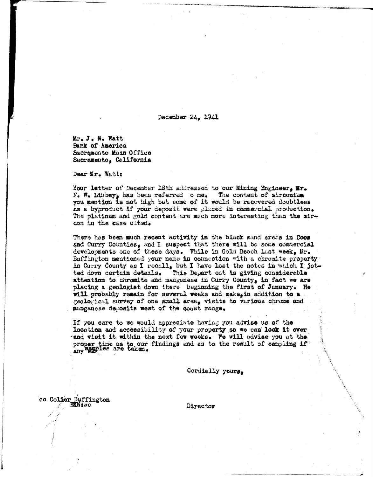December 24, 1941

Mr. J. N. Watt Bank of America Sacremento Main Office Sacramento, California

Dear Mr. Watt:

Your letter of December 18th addressed to our Mining Engineer, Mr.  $F_{\bullet}$  W. Libbey, has been referred one. The content of sirconium you mention is not high but some of it would be recovered doubtless as a byproduct if your deposit were placed in commercial production. The platinum and gold content are much more interesting than the zircon in the case cited.

There has been much recent activity in the black sand areas in Coos and Curry Counties, and I suspect that there will be some commercial developments one of these days. While in Gold Beach last week, Mr. Buffington mentioned your name in connection with a chromite property in Curry County as I recall, but I have lost the notes in which I jotted down certain details. This Depart ent is giving considerable attention to chromite and mangeness in Curry County, in fact we are placing a geologist down there beginning the first of January. He will probably remain for several weeks and make, in addition to a geological survey of one small area, visits to various chrome and manganese deposits west of the coast range.

If you care to we would appreciate having you advise us of the location and accessibility of your property so we can look it over and visit it within the next few weeks. We will advise you at the proper time as to our findings and as to the result of sampling if any semi-

Cordially yours.

cc Colier Buffington EXNtac

Director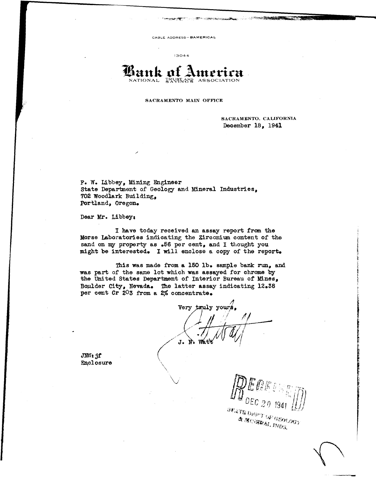CABLE ADDRESS-BAMERICAL

13044

# **Lank of America**  $I<sub>R</sub><sup>R</sup><sub>N</sub><sub>S<sub>R</sub><sub>R</sub><sub>S<sub>R</sub></sub></sub>$  A

### SACRAMENTO MAIN OFFICE

SACRAMENTO, CALIFORNIA December 18, 1941

F. w. Libbey, Mining Engineer State Department of Geology and Mineral Industries, 702 Woodlark Building, Portland, Oregon.

Dear Mr. Libbey:

I have today received an assay report from the Morse Laboratories indicating the Zirconium. content of the sand on my property as .56 per cent, and I thought you might be interested. I will enclose a copy of the report.

This was made from a 150 lb. sample bank run, and was part of the same lot which was assayed for chrome by the United States Department of Interior Bureau of Mines, Boulder City, Nevada. The latter assay indicating 12.38 per cent Cr 203 from a 2% concentrate.

yours. J.

JNW:jf' Enclosure

**BEATEDEPT OF GEOLOGY & MORRAL INDS.**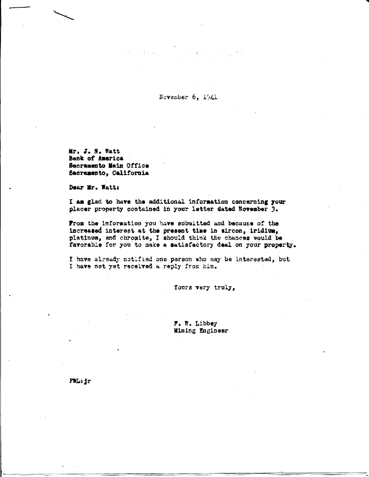November 6, 1941

Mr. J. N. Watt **Bank of America** Sacramento Main Office Sacramento, California

Dear Mr. Watt:

I am glad to have the additional information concerning your placer property contained in your letter dated November 3.

From the information you have submitted and because of the increased interest at the present time in sircon, iridium, platinum, and chromite, I should think the chances would be favorable for you to make a satisfactory deal on your property.

I have already notified one person who may be interested, but I have not yet received a reply from him.

Yours very truly,

F. N. Libbey Mining Engineer

FWL: jr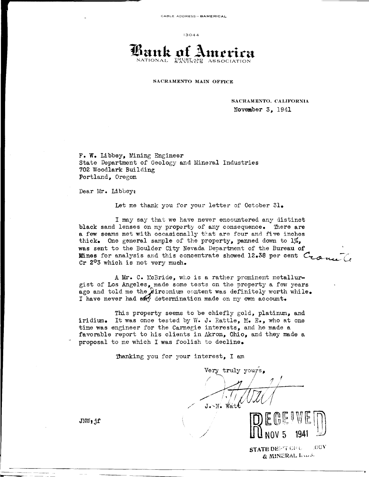13044



**SACRAMENTO MAIN OFFICE** 

**SACRAMENTO, CALIFORNIA November** 3, 1941

F. w. Libbey, Nining Engineer State Department of Geology and Mineral Industries **702 Woodlark** Building Portland, Oregon

Dear Mr. Libbey:

Let me thank you for your letter of October 31.

I may say that we have never encountered any distinct black sand lenses on my property of any consequence. There are a few seams met with occasionally that are four and five inches thick. One general sample of the property, panned down to 1%, was sent to the Boulder City Nevada Department of the Bureau of **Mines** for analysis and this concentrate showed 12.38 per cent  $C_{\tau,\alpha}$ Cr 2°3 which is not very much.

A Mr. C. McBride, who is a rather prominent metallurgist of Los Angeles, made some tests on the property a fevr years ago and told me the  $\hat{z}$ irconium content was definitely worth while. I have never had any determination made on my own account.

This property seems to be chiefly gold, platinum, and iridium. It was once tested by W. J. Rattle,  $M_0$ . E., who at one time was engineer for the Carnegie interests, and he made a favorable report to his clients in Akron, Ohio, and they made a proposal to me which I was foolish to decline.

Thanking you for your interest, I am

Very truly yours.  $\sqrt{1/1}$  $J - V$ . Wat



**STATE DEPT CPL CUY**  $&$  MINERAL limb.

 $JNNf$ :if

..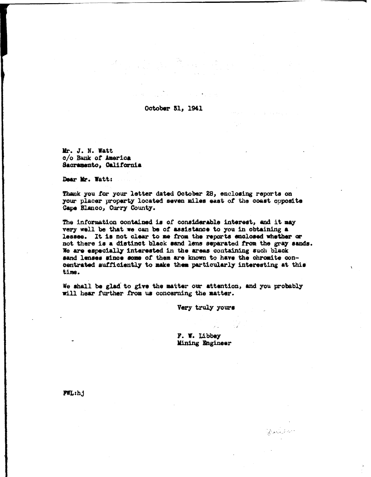October 31, 1941

Mr. J. N. Watt c/o Bank of America Sacramento, California

Dear Mr. Watt:

Thank you for your letter dated October 28, enclosing reports on your placer property located seven miles east of the coast opposite Cape Blanco, Curry County.

The information contained is of considerable interest, and it may very well be that we can be of assistance to you in obtaining a lessee. It is not clear to me from the reports enclosed whether or not there is a distinct black sand lens separated from the gray sands. We are especially interested in the areas containing such black sand lenses since some of them are known to have the chromite concentrated sufficiently to make them particularly interesting at this time.

We shall be glad to give the matter our attention, and you probably will hear further from us concerning the matter.

Very truly yours

F. W. Libbey Mining Engineer

Auditor

FWL:h.j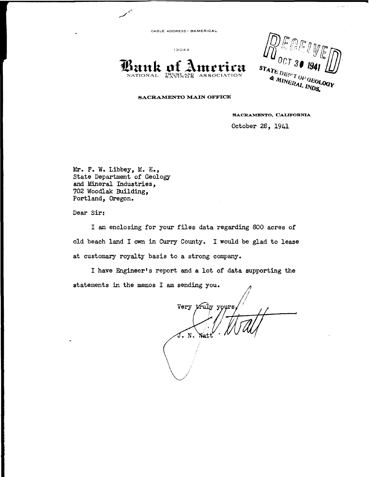CABLE ADDRESS- BA **MERICAL** 

13044

**Bank of America** 

 $^{\prime}$ CT  $3$  $\begin{array}{c}\n\text{ST}_{\text{ATE}}\text{D}_{\text{EPT}}\text{O}_{\text{F}}\text{O}_{\text{F}}\\ \n\text{A}_{\text{MINERAL}}\text{O}_{\text{F}}\text{O}_{\text{F}}\text{O}_{\text{F}}\\ \n\text{A}_{\text{MINERAL}}\text{NDS}\n\end{array}$ A MINERAL INDS.

### SACRAMENTO **MAIN** OFFICE

**SACRAMENTO, CALIFORNIA** 

October 28, 1941

Mr. F. W. Libbey, M. E., State Department of Geology and Mineral Industries, 702 Woodlak Building, Portland, Oregon.

Dear Sir:

I am enclosing for your files data regarding 800 acres of old beach land I own in Curry County. I would be glad to lease at customary royalty basis to a strong company.

I **have** Engineer's report and a lot of data supporting the statements in the memos I am sending you.

*/ I* Very truly yours J. N. Wat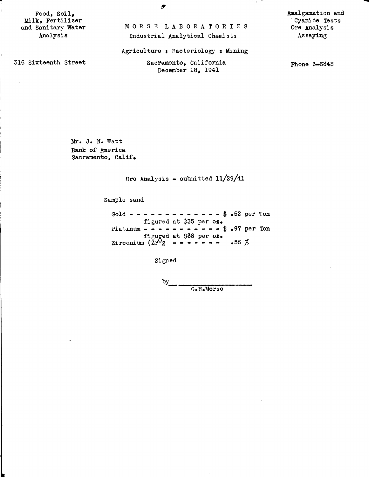Feed, Soil, Milk, Fertilizer and Sanitary Water Analysis

r

.Amalgamation and Cyanide Tests Ore Analysis Assaying

- 73

-

Agriculture: Bacteriology **t** Mining

MORSE LABORATORIES Industrial Analytical Chemists

316 Sixteenth Street

Sacramento, California December 18, 1941

Phone **3-6348** 

Mr. J. N. Watt Bank of America Sacramento, Calif.

Ore Analysis - submitted 11/29/41

Sample sand

Gold - - - - - - - - - - - -  $\frac{1}{2}$  .52 per Ton figured at \$35 per **oz.**  Platinum - - - - - - - - - - - \$ .97 per Ton figu**ged at \$36 per oz.** Zirconium (Zr 2 - - • - - - - .56 %

Signed

 $\mathbf{b}$ G.H.Morse

**!I'**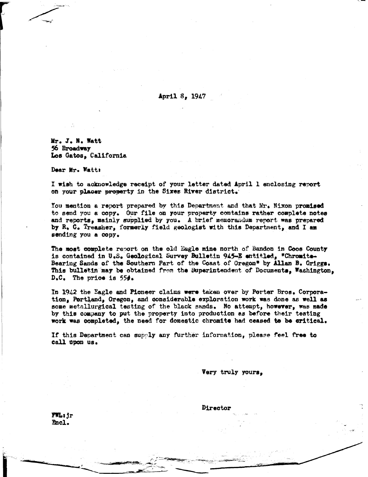April 8, 1947

Mr. J. N. Watt 56 Broadway Los Gatos, California

Dear Mr. Watt:

I wish to acknowledge receipt of your letter dated April 1 enclosing report on your placer property in the Sixes River district.

You mention a report prepared by this Department and that Mr. Nixon promised to send you a copy. Our file on your property contains rather complete notes and reports, mainly supplied by you. A brief memorandum report was prepared by R. C. Treasher, formerly field geologist with this Department, and I am sending you a copy.

The most complete report on the old Eagle mine north of Bandon in Coos County is contained in U.S. Geological Survey Bulletin 945-E entitled, "Chromite-Bearing Sands of the Southern Part of the Coast of Oregon" by Allan B. Griggs. This bulletin may be obtained from the Superintendent of Documents, Washington,  $D_{\bullet}C_{\bullet}$  The price is 55 $\phi_{\bullet}$ 

In 1942 the Eagle and Pioneer claims were taken over by Porter Bros. Corporation, Portland, Oregon, and considerable exploration work was done as well as some metallurgical testing of the black sands. No attempt, however, was made by this company to put the property into production as before their testing work was completed, the need for domestic chromite had ceased to be critical.

If this Department can supply any further information, please feel free to call upon us.

Very truly yours.

Director

FWL: jr Encl.